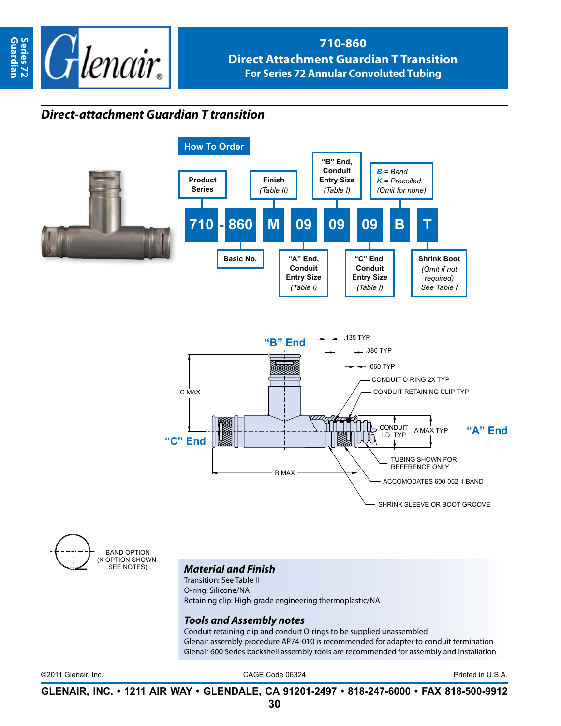

## **710-860 Direct Attachment Guardian T Transition For Series 72 Annular Convoluted Tubing**

## *Direct-attachment Guardian T transition*



band option (OPTION SHOWN-<br>SEE NOTES)

## **Material and Finish**

Transition: See Table II O-ring: Silicone/NA Retaining clip: High-grade engineering thermoplastic/NA

## *Tools and Assembly notes*

Conduit retaining clip and conduit O-rings to be supplied unassembled Glenair assembly procedure AP74-010 is recommended for adapter to conduit termination Glenair 600 Series backshell assembly tools are recommended for assembly and installation

©2011 Glenair, Inc. CAGE Code 06324 Printed in U.S.A.

**GLENAIR, INC. • 1211 AIR WAY • GLENDALE, CA 91201-2497 • 818-247-6000 • FAX 818-500-9912**